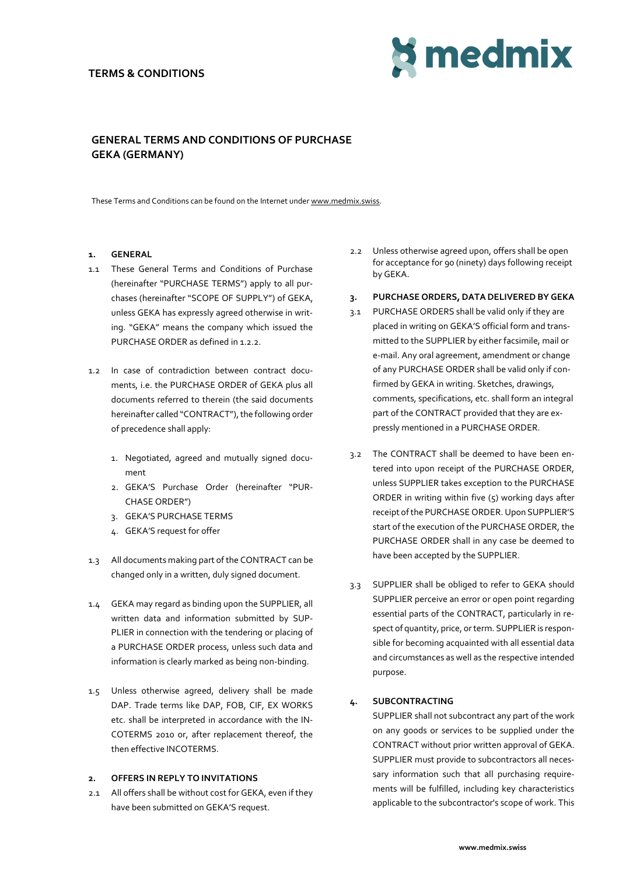## **TERMS & CONDITIONS**



## **GENERAL TERMS AND CONDITIONS OF PURCHASE GEKA (GERMANY)**

These Terms and Conditions can be found on the Internet under [www.medmix.swiss.](http://www.medmix.swiss/)

## **1. GENERAL**

- 1.1 These General Terms and Conditions of Purchase (hereinafter "PURCHASE TERMS") apply to all purchases (hereinafter "SCOPE OF SUPPLY") of GEKA, unless GEKA has expressly agreed otherwise in writing. "GEKA" means the company which issued the PURCHASE ORDER as defined in 1.2.2.
- 1.2 In case of contradiction between contract documents, i.e. the PURCHASE ORDER of GEKA plus all documents referred to therein (the said documents hereinafter called "CONTRACT"), the following order of precedence shall apply:
	- 1. Negotiated, agreed and mutually signed document
	- 2. GEKA'S Purchase Order (hereinafter "PUR-CHASE ORDER")
	- 3. GEKA'S PURCHASE TERMS
	- 4. GEKA'S request for offer
- 1.3 All documents making part of the CONTRACT can be changed only in a written, duly signed document.
- 1.4 GEKA may regard as binding upon the SUPPLIER, all written data and information submitted by SUP-PLIER in connection with the tendering or placing of a PURCHASE ORDER process, unless such data and information is clearly marked as being non-binding.
- 1.5 Unless otherwise agreed, delivery shall be made DAP. Trade terms like DAP, FOB, CIF, EX WORKS etc. shall be interpreted in accordance with the IN-COTERMS 2010 or, after replacement thereof, the then effective INCOTERMS.

## **2. OFFERS IN REPLY TO INVITATIONS**

2.1 All offers shall be without cost for GEKA, even if they have been submitted on GEKA'S request.

- 2.2 Unless otherwise agreed upon, offers shall be open for acceptance for 90 (ninety) days following receipt by GEKA.
- **3. PURCHASE ORDERS, DATA DELIVERED BY GEKA**
- 3.1 PURCHASE ORDERS shall be valid only if they are placed in writing on GEKA'S official form and transmitted to the SUPPLIER by either facsimile, mail or e-mail. Any oral agreement, amendment or change of any PURCHASE ORDER shall be valid only if confirmed by GEKA in writing. Sketches, drawings, comments, specifications, etc. shall form an integral part of the CONTRACT provided that they are expressly mentioned in a PURCHASE ORDER.
- 3.2 The CONTRACT shall be deemed to have been entered into upon receipt of the PURCHASE ORDER, unless SUPPLIER takes exception to the PURCHASE ORDER in writing within five (5) working days after receipt of the PURCHASE ORDER. Upon SUPPLIER'S start of the execution of the PURCHASE ORDER, the PURCHASE ORDER shall in any case be deemed to have been accepted by the SUPPLIER.
- 3.3 SUPPLIER shall be obliged to refer to GEKA should SUPPLIER perceive an error or open point regarding essential parts of the CONTRACT, particularly in respect of quantity, price, or term. SUPPLIER is responsible for becoming acquainted with all essential data and circumstances as well as the respective intended purpose.

## **4. SUBCONTRACTING**

SUPPLIER shall not subcontract any part of the work on any goods or services to be supplied under the CONTRACT without prior written approval of GEKA. SUPPLIER must provide to subcontractors all necessary information such that all purchasing requirements will be fulfilled, including key characteristics applicable to the subcontractor's scope of work. This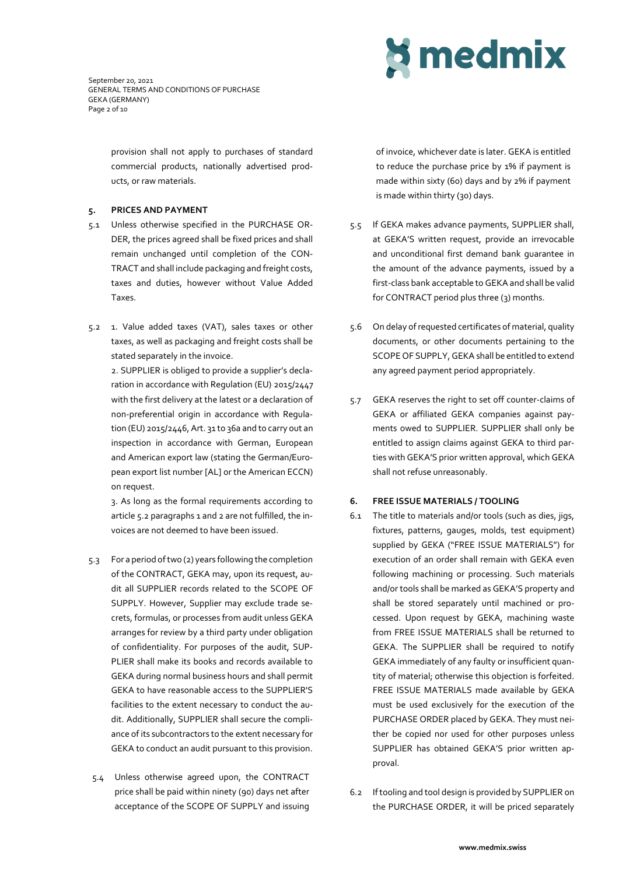September 20, 2021 GENERAL TERMS AND CONDITIONS OF PURCHASE GEKA (GERMANY) Page 2 of 10

> provision shall not apply to purchases of standard commercial products, nationally advertised products, or raw materials.

### **5. PRICES AND PAYMENT**

- 5.1 Unless otherwise specified in the PURCHASE OR-DER, the prices agreed shall be fixed prices and shall remain unchanged until completion of the CON-TRACT and shall include packaging and freight costs, taxes and duties, however without Value Added Taxes.
- 5.2 1. Value added taxes (VAT), sales taxes or other taxes, as well as packaging and freight costs shall be stated separately in the invoice.

2. SUPPLIER is obliged to provide a supplier's declaration in accordance with Regulation (EU) 2015/2447 with the first delivery at the latest or a declaration of non-preferential origin in accordance with Regulation (EU) 2015/2446, Art. 31 to 36a and to carry out an inspection in accordance with German, European and American export law (stating the German/European export list number [AL] or the American ECCN) on request.

3. As long as the formal requirements according to article 5.2 paragraphs 1 and 2 are not fulfilled, the invoices are not deemed to have been issued.

- 5.3 For a period of two (2) years following the completion of the CONTRACT, GEKA may, upon its request, audit all SUPPLIER records related to the SCOPE OF SUPPLY. However, Supplier may exclude trade secrets, formulas, or processes from audit unless GEKA arranges for review by a third party under obligation of confidentiality. For purposes of the audit, SUP-PLIER shall make its books and records available to GEKA during normal business hours and shall permit GEKA to have reasonable access to the SUPPLIER'S facilities to the extent necessary to conduct the audit. Additionally, SUPPLIER shall secure the compliance of its subcontractors to the extent necessary for GEKA to conduct an audit pursuant to this provision.
- 5.4 Unless otherwise agreed upon, the CONTRACT price shall be paid within ninety (90) days net after acceptance of the SCOPE OF SUPPLY and issuing

# **S** medmix

of invoice, whichever date is later. GEKA is entitled to reduce the purchase price by 1% if payment is made within sixty (60) days and by 2% if payment is made within thirty (30) days.

- 5.5 If GEKA makes advance payments, SUPPLIER shall, at GEKA'S written request, provide an irrevocable and unconditional first demand bank guarantee in the amount of the advance payments, issued by a first-class bank acceptable to GEKA and shall be valid for CONTRACT period plus three (3) months.
- 5.6 On delay of requested certificates of material, quality documents, or other documents pertaining to the SCOPE OF SUPPLY, GEKA shall be entitled to extend any agreed payment period appropriately.
- 5.7 GEKA reserves the right to set off counter-claims of GEKA or affiliated GEKA companies against payments owed to SUPPLIER. SUPPLIER shall only be entitled to assign claims against GEKA to third parties with GEKA'S prior written approval, which GEKA shall not refuse unreasonably.

## **6. FREE ISSUE MATERIALS / TOOLING**

- 6.1 The title to materials and/or tools (such as dies, jigs, fixtures, patterns, gauges, molds, test equipment) supplied by GEKA ("FREE ISSUE MATERIALS") for execution of an order shall remain with GEKA even following machining or processing. Such materials and/or tools shall be marked as GEKA'S property and shall be stored separately until machined or processed. Upon request by GEKA, machining waste from FREE ISSUE MATERIALS shall be returned to GEKA. The SUPPLIER shall be required to notify GEKA immediately of any faulty or insufficient quantity of material; otherwise this objection is forfeited. FREE ISSUE MATERIALS made available by GEKA must be used exclusively for the execution of the PURCHASE ORDER placed by GEKA. They must neither be copied nor used for other purposes unless SUPPLIER has obtained GEKA'S prior written approval.
- 6.2 If tooling and tool design is provided by SUPPLIER on the PURCHASE ORDER, it will be priced separately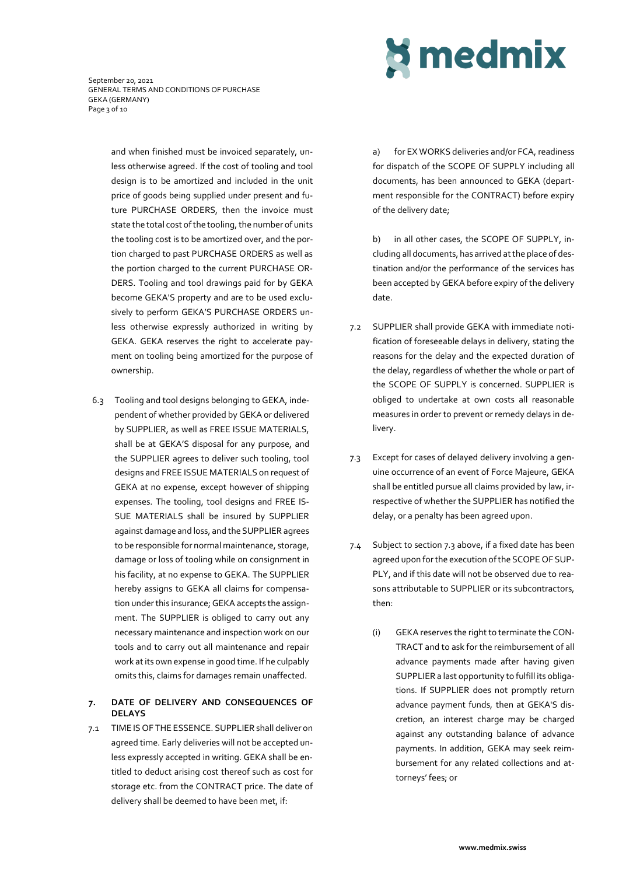

September 20, 2021 GENERAL TERMS AND CONDITIONS OF PURCHASE GEKA (GERMANY) Page 3 of 10

> and when finished must be invoiced separately, unless otherwise agreed. If the cost of tooling and tool design is to be amortized and included in the unit price of goods being supplied under present and future PURCHASE ORDERS, then the invoice must state the total cost of the tooling, the number of units the tooling cost is to be amortized over, and the portion charged to past PURCHASE ORDERS as well as the portion charged to the current PURCHASE OR-DERS. Tooling and tool drawings paid for by GEKA become GEKA'S property and are to be used exclusively to perform GEKA'S PURCHASE ORDERS unless otherwise expressly authorized in writing by GEKA. GEKA reserves the right to accelerate payment on tooling being amortized for the purpose of ownership.

6.3 Tooling and tool designs belonging to GEKA, independent of whether provided by GEKA or delivered by SUPPLIER, as well as FREE ISSUE MATERIALS, shall be at GEKA'S disposal for any purpose, and the SUPPLIER agrees to deliver such tooling, tool designs and FREE ISSUE MATERIALS on request of GEKA at no expense, except however of shipping expenses. The tooling, tool designs and FREE IS-SUE MATERIALS shall be insured by SUPPLIER against damage and loss, and the SUPPLIER agrees to be responsible for normal maintenance, storage, damage or loss of tooling while on consignment in his facility, at no expense to GEKA. The SUPPLIER hereby assigns to GEKA all claims for compensation under this insurance; GEKA accepts the assignment. The SUPPLIER is obliged to carry out any necessary maintenance and inspection work on our tools and to carry out all maintenance and repair work at its own expense in good time. If he culpably omits this, claims for damages remain unaffected.

## **7. DATE OF DELIVERY AND CONSEQUENCES OF DELAYS**

7.1 TIME IS OF THE ESSENCE. SUPPLIER shall deliver on agreed time. Early deliveries will not be accepted unless expressly accepted in writing. GEKA shall be entitled to deduct arising cost thereof such as cost for storage etc. from the CONTRACT price. The date of delivery shall be deemed to have been met, if:

a) for EX WORKS deliveries and/or FCA, readiness for dispatch of the SCOPE OF SUPPLY including all documents, has been announced to GEKA (department responsible for the CONTRACT) before expiry of the delivery date;

b) in all other cases, the SCOPE OF SUPPLY, including all documents, has arrived at the place of destination and/or the performance of the services has been accepted by GEKA before expiry of the delivery date.

- 7.2 SUPPLIER shall provide GEKA with immediate notification of foreseeable delays in delivery, stating the reasons for the delay and the expected duration of the delay, regardless of whether the whole or part of the SCOPE OF SUPPLY is concerned. SUPPLIER is obliged to undertake at own costs all reasonable measures in order to prevent or remedy delays in delivery.
- 7.3 Except for cases of delayed delivery involving a genuine occurrence of an event of Force Majeure, GEKA shall be entitled pursue all claims provided by law, irrespective of whether the SUPPLIER has notified the delay, or a penalty has been agreed upon.
- 7.4 Subject to section 7.3 above, if a fixed date has been agreed upon for the execution of the SCOPE OF SUP-PLY, and if this date will not be observed due to reasons attributable to SUPPLIER or its subcontractors, then:
	- (i) GEKA reserves the right to terminate the CON-TRACT and to ask for the reimbursement of all advance payments made after having given SUPPLIER a last opportunity to fulfill its obligations. If SUPPLIER does not promptly return advance payment funds, then at GEKA'S discretion, an interest charge may be charged against any outstanding balance of advance payments. In addition, GEKA may seek reimbursement for any related collections and attorneys' fees; or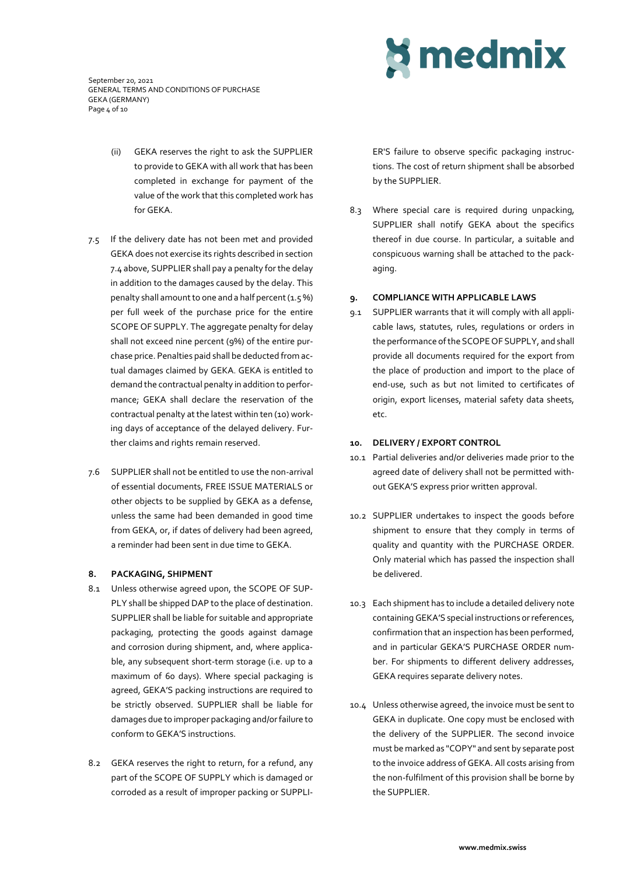September 20, 2021 GENERAL TERMS AND CONDITIONS OF PURCHASE GEKA (GERMANY) Page 4 of 10

- (ii) GEKA reserves the right to ask the SUPPLIER to provide to GEKA with all work that has been completed in exchange for payment of the value of the work that this completed work has for GEKA.
- 7.5 If the delivery date has not been met and provided GEKA does not exercise its rights described in section 7.4 above, SUPPLIER shall pay a penalty for the delay in addition to the damages caused by the delay. This penalty shall amount to one and a half percent  $(1.5\%)$ per full week of the purchase price for the entire SCOPE OF SUPPLY. The aggregate penalty for delay shall not exceed nine percent (9%) of the entire purchase price. Penalties paid shall be deducted from actual damages claimed by GEKA. GEKA is entitled to demand the contractual penalty in addition to performance; GEKA shall declare the reservation of the contractual penalty at the latest within ten (10) working days of acceptance of the delayed delivery. Further claims and rights remain reserved.
- 7.6 SUPPLIER shall not be entitled to use the non-arrival of essential documents, FREE ISSUE MATERIALS or other objects to be supplied by GEKA as a defense, unless the same had been demanded in good time from GEKA, or, if dates of delivery had been agreed, a reminder had been sent in due time to GEKA.

#### **8. PACKAGING, SHIPMENT**

- 8.1 Unless otherwise agreed upon, the SCOPE OF SUP-PLY shall be shipped DAP to the place of destination. SUPPLIER shall be liable for suitable and appropriate packaging, protecting the goods against damage and corrosion during shipment, and, where applicable, any subsequent short-term storage (i.e. up to a maximum of 60 days). Where special packaging is agreed, GEKA'S packing instructions are required to be strictly observed. SUPPLIER shall be liable for damages due to improper packaging and/or failure to conform to GEKA'S instructions.
- 8.2 GEKA reserves the right to return, for a refund, any part of the SCOPE OF SUPPLY which is damaged or corroded as a result of improper packing or SUPPLI-

# **S** medmix

ER'S failure to observe specific packaging instructions. The cost of return shipment shall be absorbed by the SUPPLIER.

8.3 Where special care is required during unpacking, SUPPLIER shall notify GEKA about the specifics thereof in due course. In particular, a suitable and conspicuous warning shall be attached to the packaging.

#### **9. COMPLIANCE WITH APPLICABLE LAWS**

9.1 SUPPLIER warrants that it will comply with all applicable laws, statutes, rules, regulations or orders in the performance of the SCOPE OF SUPPLY, and shall provide all documents required for the export from the place of production and import to the place of end-use, such as but not limited to certificates of origin, export licenses, material safety data sheets, etc.

#### **10. DELIVERY / EXPORT CONTROL**

- 10.1 Partial deliveries and/or deliveries made prior to the agreed date of delivery shall not be permitted without GEKA'S express prior written approval.
- 10.2 SUPPLIER undertakes to inspect the goods before shipment to ensure that they comply in terms of quality and quantity with the PURCHASE ORDER. Only material which has passed the inspection shall be delivered.
- 10.3 Each shipment has to include a detailed delivery note containing GEKA'S special instructions or references, confirmation that an inspection has been performed, and in particular GEKA'S PURCHASE ORDER number. For shipments to different delivery addresses, GEKA requires separate delivery notes.
- 10.4 Unless otherwise agreed, the invoice must be sent to GEKA in duplicate. One copy must be enclosed with the delivery of the SUPPLIER. The second invoice must be marked as "COPY" and sent by separate post to the invoice address of GEKA. All costs arising from the non-fulfilment of this provision shall be borne by the SUPPLIER.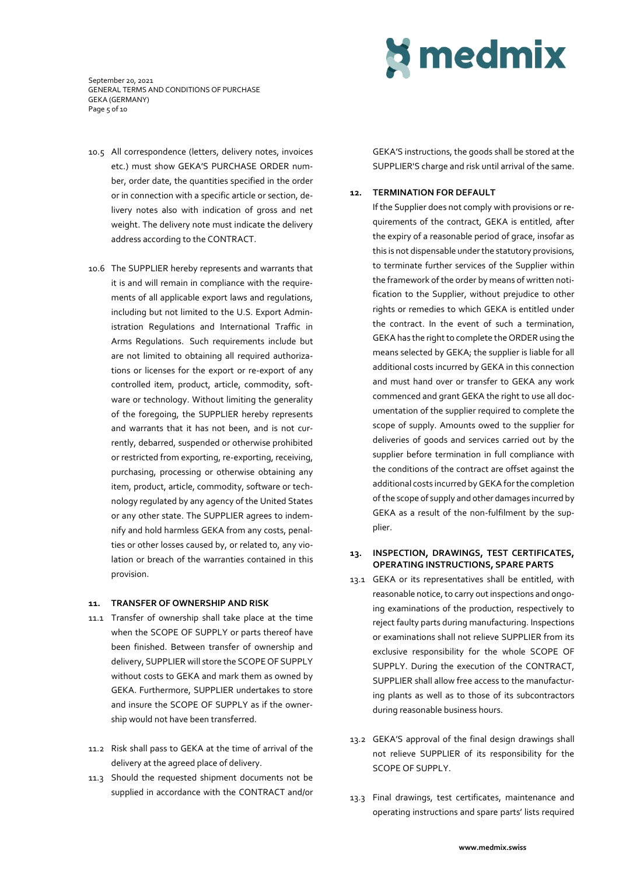September 20, 2021 GENERAL TERMS AND CONDITIONS OF PURCHASE GEKA (GERMANY) Page 5 of 10

- 10.5 All correspondence (letters, delivery notes, invoices etc.) must show GEKA'S PURCHASE ORDER number, order date, the quantities specified in the order or in connection with a specific article or section, delivery notes also with indication of gross and net weight. The delivery note must indicate the delivery address according to the CONTRACT.
- 10.6 The SUPPLIER hereby represents and warrants that it is and will remain in compliance with the requirements of all applicable export laws and regulations, including but not limited to the U.S. Export Administration Regulations and International Traffic in Arms Regulations. Such requirements include but are not limited to obtaining all required authorizations or licenses for the export or re-export of any controlled item, product, article, commodity, software or technology. Without limiting the generality of the foregoing, the SUPPLIER hereby represents and warrants that it has not been, and is not currently, debarred, suspended or otherwise prohibited or restricted from exporting, re-exporting, receiving, purchasing, processing or otherwise obtaining any item, product, article, commodity, software or technology regulated by any agency of the United States or any other state. The SUPPLIER agrees to indemnify and hold harmless GEKA from any costs, penalties or other losses caused by, or related to, any violation or breach of the warranties contained in this provision.

#### **11. TRANSFER OF OWNERSHIP AND RISK**

- 11.1 Transfer of ownership shall take place at the time when the SCOPE OF SUPPLY or parts thereof have been finished. Between transfer of ownership and delivery, SUPPLIER will store the SCOPE OF SUPPLY without costs to GEKA and mark them as owned by GEKA. Furthermore, SUPPLIER undertakes to store and insure the SCOPE OF SUPPLY as if the ownership would not have been transferred.
- 11.2 Risk shall pass to GEKA at the time of arrival of the delivery at the agreed place of delivery.
- 11.3 Should the requested shipment documents not be supplied in accordance with the CONTRACT and/or



GEKA'S instructions, the goods shall be stored at the SUPPLIER'S charge and risk until arrival of the same.

#### **12. TERMINATION FOR DEFAULT**

If the Supplier does not comply with provisions or requirements of the contract, GEKA is entitled, after the expiry of a reasonable period of grace, insofar as this is not dispensable under the statutory provisions, to terminate further services of the Supplier within the framework of the order by means of written notification to the Supplier, without prejudice to other rights or remedies to which GEKA is entitled under the contract. In the event of such a termination, GEKA has the right to complete the ORDER using the means selected by GEKA; the supplier is liable for all additional costs incurred by GEKA in this connection and must hand over or transfer to GEKA any work commenced and grant GEKA the right to use all documentation of the supplier required to complete the scope of supply. Amounts owed to the supplier for deliveries of goods and services carried out by the supplier before termination in full compliance with the conditions of the contract are offset against the additional costs incurred byGEKA for the completion of the scope of supply and other damages incurred by GEKA as a result of the non-fulfilment by the supplier.

## **13. INSPECTION, DRAWINGS, TEST CERTIFICATES, OPERATING INSTRUCTIONS, SPARE PARTS**

- 13.1 GEKA or its representatives shall be entitled, with reasonable notice, to carry out inspections and ongoing examinations of the production, respectively to reject faulty parts during manufacturing. Inspections or examinations shall not relieve SUPPLIER from its exclusive responsibility for the whole SCOPE OF SUPPLY. During the execution of the CONTRACT, SUPPLIER shall allow free access to the manufacturing plants as well as to those of its subcontractors during reasonable business hours.
- 13.2 GEKA'S approval of the final design drawings shall not relieve SUPPLIER of its responsibility for the SCOPE OF SUPPLY.
- 13.3 Final drawings, test certificates, maintenance and operating instructions and spare parts' lists required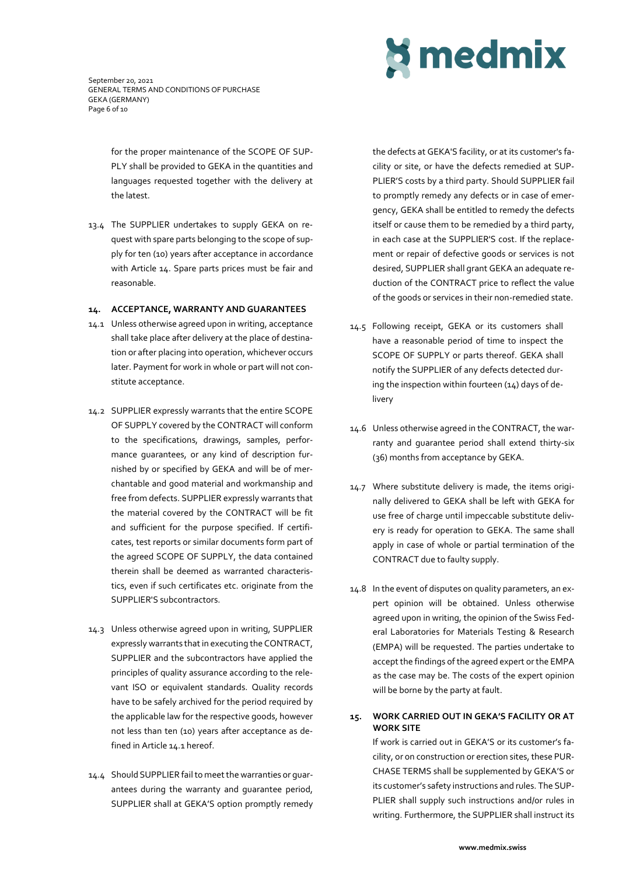September 20, 2021 GENERAL TERMS AND CONDITIONS OF PURCHASE GEKA (GERMANY) Page 6 of 10

> for the proper maintenance of the SCOPE OF SUP-PLY shall be provided to GEKA in the quantities and languages requested together with the delivery at the latest.

13.4 The SUPPLIER undertakes to supply GEKA on request with spare parts belonging to the scope of supply for ten (10) years after acceptance in accordance with Article 14. Spare parts prices must be fair and reasonable.

#### **14. ACCEPTANCE, WARRANTY AND GUARANTEES**

- 14.1 Unless otherwise agreed upon in writing, acceptance shall take place after delivery at the place of destination or after placing into operation, whichever occurs later. Payment for work in whole or part will not constitute acceptance.
- 14.2 SUPPLIER expressly warrants that the entire SCOPE OF SUPPLY covered by the CONTRACT will conform to the specifications, drawings, samples, performance guarantees, or any kind of description furnished by or specified by GEKA and will be of merchantable and good material and workmanship and free from defects. SUPPLIER expressly warrants that the material covered by the CONTRACT will be fit and sufficient for the purpose specified. If certificates, test reports or similar documents form part of the agreed SCOPE OF SUPPLY, the data contained therein shall be deemed as warranted characteristics, even if such certificates etc. originate from the SUPPLIER'S subcontractors.
- 14.3 Unless otherwise agreed upon in writing, SUPPLIER expressly warrants that in executing the CONTRACT, SUPPLIER and the subcontractors have applied the principles of quality assurance according to the relevant ISO or equivalent standards. Quality records have to be safely archived for the period required by the applicable law for the respective goods, however not less than ten (10) years after acceptance as defined in Article 14.1 hereof.
- 14.4 Should SUPPLIER fail to meet the warranties or guarantees during the warranty and guarantee period, SUPPLIER shall at GEKA'S option promptly remedy

the defects at GEKA'S facility, or at its customer's facility or site, or have the defects remedied at SUP-PLIER'S costs by a third party. Should SUPPLIER fail to promptly remedy any defects or in case of emergency, GEKA shall be entitled to remedy the defects itself or cause them to be remedied by a third party, in each case at the SUPPLIER'S cost. If the replacement or repair of defective goods or services is not desired, SUPPLIER shall grant GEKA an adequate reduction of the CONTRACT price to reflect the value of the goods or services in their non-remedied state.

- 14.5 Following receipt, GEKA or its customers shall have a reasonable period of time to inspect the SCOPE OF SUPPLY or parts thereof. GEKA shall notify the SUPPLIER of any defects detected during the inspection within fourteen (14) days of delivery
- 14.6 Unless otherwise agreed in the CONTRACT, the warranty and guarantee period shall extend thirty-six (36) months from acceptance by GEKA.
- 14.7 Where substitute delivery is made, the items originally delivered to GEKA shall be left with GEKA for use free of charge until impeccable substitute delivery is ready for operation to GEKA. The same shall apply in case of whole or partial termination of the CONTRACT due to faulty supply.
- 14.8 In the event of disputes on quality parameters, an expert opinion will be obtained. Unless otherwise agreed upon in writing, the opinion of the Swiss Federal Laboratories for Materials Testing & Research (EMPA) will be requested. The parties undertake to accept the findings of the agreed expert or the EMPA as the case may be. The costs of the expert opinion will be borne by the party at fault.

## **15. WORK CARRIED OUT IN GEKA'S FACILITY OR AT WORK SITE**

If work is carried out in GEKA'S or its customer's facility, or on construction or erection sites, these PUR-CHASE TERMS shall be supplemented by GEKA'S or its customer's safety instructions and rules. The SUP-PLIER shall supply such instructions and/or rules in writing. Furthermore, the SUPPLIER shall instruct its

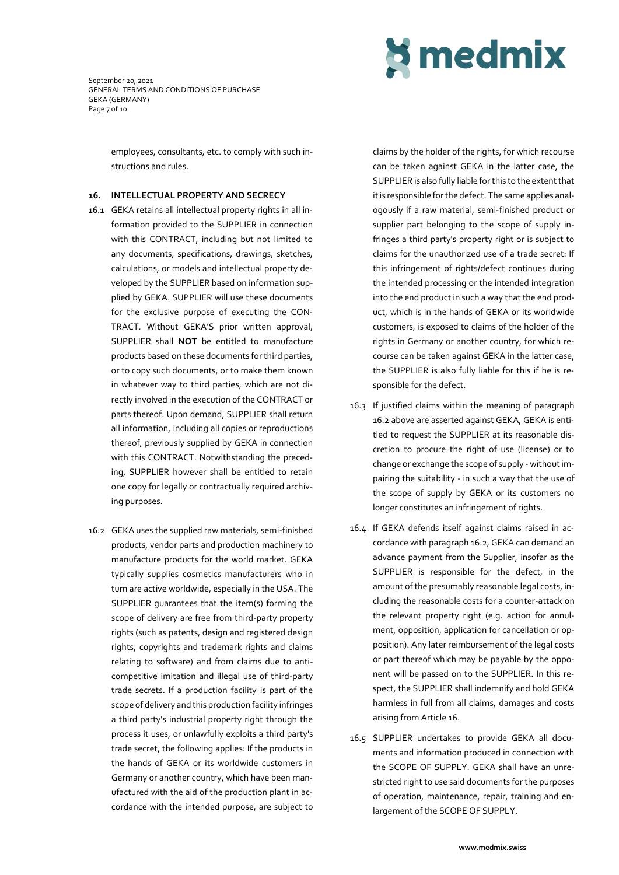September 20, 2021 GENERAL TERMS AND CONDITIONS OF PURCHASE GEKA (GERMANY) Page 7 of 10



employees, consultants, etc. to comply with such instructions and rules.

#### **16. INTELLECTUAL PROPERTY AND SECRECY**

- 16.1 GEKA retains all intellectual property rights in all information provided to the SUPPLIER in connection with this CONTRACT, including but not limited to any documents, specifications, drawings, sketches, calculations, or models and intellectual property developed by the SUPPLIER based on information supplied by GEKA. SUPPLIER will use these documents for the exclusive purpose of executing the CON-TRACT. Without GEKA'S prior written approval, SUPPLIER shall **NOT** be entitled to manufacture products based on these documents for third parties, or to copy such documents, or to make them known in whatever way to third parties, which are not directly involved in the execution of the CONTRACT or parts thereof. Upon demand, SUPPLIER shall return all information, including all copies or reproductions thereof, previously supplied by GEKA in connection with this CONTRACT. Notwithstanding the preceding, SUPPLIER however shall be entitled to retain one copy for legally or contractually required archiving purposes.
- 16.2 GEKA uses the supplied raw materials, semi-finished products, vendor parts and production machinery to manufacture products for the world market. GEKA typically supplies cosmetics manufacturers who in turn are active worldwide, especially in the USA. The SUPPLIER guarantees that the item(s) forming the scope of delivery are free from third-party property rights (such as patents, design and registered design rights, copyrights and trademark rights and claims relating to software) and from claims due to anticompetitive imitation and illegal use of third-party trade secrets. If a production facility is part of the scope of delivery and this production facility infringes a third party's industrial property right through the process it uses, or unlawfully exploits a third party's trade secret, the following applies: If the products in the hands of GEKA or its worldwide customers in Germany or another country, which have been manufactured with the aid of the production plant in accordance with the intended purpose, are subject to

claims by the holder of the rights, for which recourse can be taken against GEKA in the latter case, the SUPPLIER is also fully liable for this to the extent that it is responsible for the defect. The same applies analogously if a raw material, semi-finished product or supplier part belonging to the scope of supply infringes a third party's property right or is subject to claims for the unauthorized use of a trade secret: If this infringement of rights/defect continues during the intended processing or the intended integration into the end product in such a way that the end product, which is in the hands of GEKA or its worldwide customers, is exposed to claims of the holder of the rights in Germany or another country, for which recourse can be taken against GEKA in the latter case, the SUPPLIER is also fully liable for this if he is responsible for the defect.

- 16.3 If justified claims within the meaning of paragraph 16.2 above are asserted against GEKA, GEKA is entitled to request the SUPPLIER at its reasonable discretion to procure the right of use (license) or to change or exchange the scope of supply - without impairing the suitability - in such a way that the use of the scope of supply by GEKA or its customers no longer constitutes an infringement of rights.
- 16.4 If GEKA defends itself against claims raised in accordance with paragraph 16.2, GEKA can demand an advance payment from the Supplier, insofar as the SUPPLIER is responsible for the defect, in the amount of the presumably reasonable legal costs, including the reasonable costs for a counter-attack on the relevant property right (e.g. action for annulment, opposition, application for cancellation or opposition). Any later reimbursement of the legal costs or part thereof which may be payable by the opponent will be passed on to the SUPPLIER. In this respect, the SUPPLIER shall indemnify and hold GEKA harmless in full from all claims, damages and costs arising from Article 16.
- 16.5 SUPPLIER undertakes to provide GEKA all documents and information produced in connection with the SCOPE OF SUPPLY. GEKA shall have an unrestricted right to use said documents for the purposes of operation, maintenance, repair, training and enlargement of the SCOPE OF SUPPLY.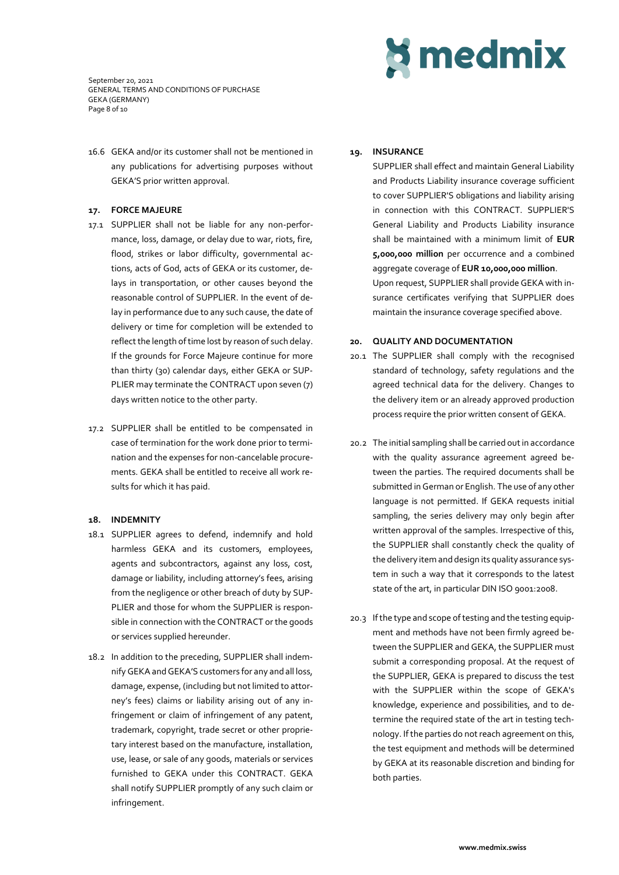September 20, 2021 GENERAL TERMS AND CONDITIONS OF PURCHASE GEKA (GERMANY) Page 8 of 10

16.6 GEKA and/or its customer shall not be mentioned in any publications for advertising purposes without GEKA'S prior written approval.

### **17. FORCE MAJEURE**

- 17.1 SUPPLIER shall not be liable for any non-performance, loss, damage, or delay due to war, riots, fire, flood, strikes or labor difficulty, governmental actions, acts of God, acts of GEKA or its customer, delays in transportation, or other causes beyond the reasonable control of SUPPLIER. In the event of delay in performance due to any such cause, the date of delivery or time for completion will be extended to reflect the length of time lost by reason of such delay. If the grounds for Force Majeure continue for more than thirty (30) calendar days, either GEKA or SUP-PLIER may terminate the CONTRACT upon seven (7) days written notice to the other party.
- 17.2 SUPPLIER shall be entitled to be compensated in case of termination for the work done prior to termination and the expenses for non-cancelable procurements. GEKA shall be entitled to receive all work results for which it has paid.

## **18. INDEMNITY**

- 18.1 SUPPLIER agrees to defend, indemnify and hold harmless GEKA and its customers, employees, agents and subcontractors, against any loss, cost, damage or liability, including attorney's fees, arising from the negligence or other breach of duty by SUP-PLIER and those for whom the SUPPLIER is responsible in connection with the CONTRACT or the goods or services supplied hereunder.
- 18.2 In addition to the preceding, SUPPLIER shall indemnify GEKA and GEKA'S customers for any and all loss, damage, expense, (including but not limited to attorney's fees) claims or liability arising out of any infringement or claim of infringement of any patent, trademark, copyright, trade secret or other proprietary interest based on the manufacture, installation, use, lease, or sale of any goods, materials or services furnished to GEKA under this CONTRACT. GEKA shall notify SUPPLIER promptly of any such claim or infringement.

# **S** medmix

## **19. INSURANCE**

SUPPLIER shall effect and maintain General Liability and Products Liability insurance coverage sufficient to cover SUPPLIER'S obligations and liability arising in connection with this CONTRACT. SUPPLIER'S General Liability and Products Liability insurance shall be maintained with a minimum limit of **EUR 5,000,000 million** per occurrence and a combined aggregate coverage of **EUR 10,000,000 million**. Upon request, SUPPLIER shall provide GEKA with insurance certificates verifying that SUPPLIER does maintain the insurance coverage specified above.

#### **20. QUALITY AND DOCUMENTATION**

- 20.1 The SUPPLIER shall comply with the recognised standard of technology, safety regulations and the agreed technical data for the delivery. Changes to the delivery item or an already approved production process require the prior written consent of GEKA.
- 20.2 The initial sampling shall be carried out in accordance with the quality assurance agreement agreed between the parties. The required documents shall be submitted in German or English. The use of any other language is not permitted. If GEKA requests initial sampling, the series delivery may only begin after written approval of the samples. Irrespective of this, the SUPPLIER shall constantly check the quality of the delivery item and design its quality assurance system in such a way that it corresponds to the latest state of the art, in particular DIN ISO 9001:2008.
- 20.3 If the type and scope of testing and the testing equipment and methods have not been firmly agreed between the SUPPLIER and GEKA, the SUPPLIER must submit a corresponding proposal. At the request of the SUPPLIER, GEKA is prepared to discuss the test with the SUPPLIER within the scope of GEKA's knowledge, experience and possibilities, and to determine the required state of the art in testing technology. If the parties do not reach agreement on this, the test equipment and methods will be determined by GEKA at its reasonable discretion and binding for both parties.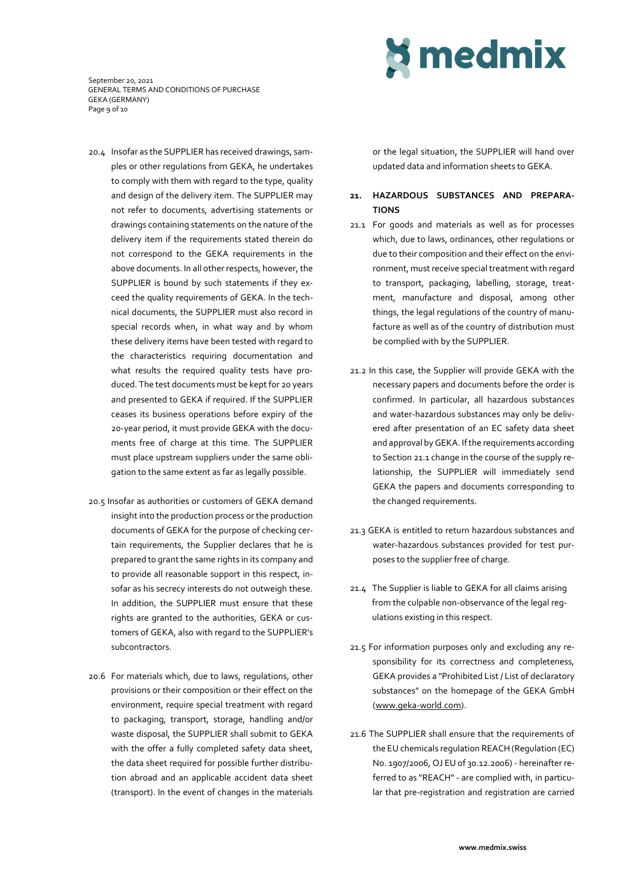September 20, 2021 GENERAL TERMS AND CONDITIONS OF PURCHASE GEKA (GERMANY) Page 9 of 10

- 20.4 Insofar as the SUPPLIER has received drawings, samples or other regulations from GEKA, he undertakes to comply with them with regard to the type, quality and design of the delivery item. The SUPPLIER may not refer to documents, advertising statements or drawings containing statements on the nature of the delivery item if the requirements stated therein do not correspond to the GEKA requirements in the above documents. In all other respects, however, the SUPPLIER is bound by such statements if they exceed the quality requirements of GEKA. In the technical documents, the SUPPLIER must also record in special records when, in what way and by whom these delivery items have been tested with regard to the characteristics requiring documentation and what results the required quality tests have produced. The test documents must be kept for 20 years and presented to GEKA if required. If the SUPPLIER ceases its business operations before expiry of the 20-year period, it must provide GEKA with the documents free of charge at this time. The SUPPLIER must place upstream suppliers under the same obligation to the same extent as far as legally possible.
- 20.5 Insofar as authorities or customers of GEKA demand insight into the production process or the production documents of GEKA for the purpose of checking certain requirements, the Supplier declares that he is prepared to grant the same rights in its company and to provide all reasonable support in this respect, insofar as his secrecy interests do not outweigh these. In addition, the SUPPLIER must ensure that these rights are granted to the authorities, GEKA or customers of GEKA, also with regard to the SUPPLIER's subcontractors.
- 20.6 For materials which, due to laws, regulations, other provisions or their composition or their effect on the environment, require special treatment with regard to packaging, transport, storage, handling and/or waste disposal, the SUPPLIER shall submit to GEKA with the offer a fully completed safety data sheet, the data sheet required for possible further distribution abroad and an applicable accident data sheet (transport). In the event of changes in the materials

or the legal situation, the SUPPLIER will hand over updated data and information sheets to GEKA.

**S** medmix

## **21. HAZARDOUS SUBSTANCES AND PREPARA-TIONS**

- 21.1 For goods and materials as well as for processes which, due to laws, ordinances, other regulations or due to their composition and their effect on the environment, must receive special treatment with regard to transport, packaging, labelling, storage, treatment, manufacture and disposal, among other things, the legal regulations of the country of manufacture as well as of the country of distribution must be complied with by the SUPPLIER.
- 21.2 In this case, the Supplier will provide GEKA with the necessary papers and documents before the order is confirmed. In particular, all hazardous substances and water-hazardous substances may only be delivered after presentation of an EC safety data sheet and approval by GEKA. If the requirements according to Section 21.1 change in the course of the supply relationship, the SUPPLIER will immediately send GEKA the papers and documents corresponding to the changed requirements.
- 21.3 GEKA is entitled to return hazardous substances and water-hazardous substances provided for test purposes to the supplier free of charge.
- 21.4 The Supplier is liable to GEKA for all claims arising from the culpable non-observance of the legal regulations existing in this respect.
- 21.5 For information purposes only and excluding any responsibility for its correctness and completeness, GEKA provides a "Prohibited List / List of declaratory substances" on the homepage of the GEKA GmbH [\(www.geka-world.com\)](http://www.geka-world.com/).
- 21.6 The SUPPLIER shall ensure that the requirements of the EU chemicals regulation REACH (Regulation (EC) No. 1907/2006, OJ EU of 30.12.2006) - hereinafter referred to as "REACH" - are complied with, in particular that pre-registration and registration are carried